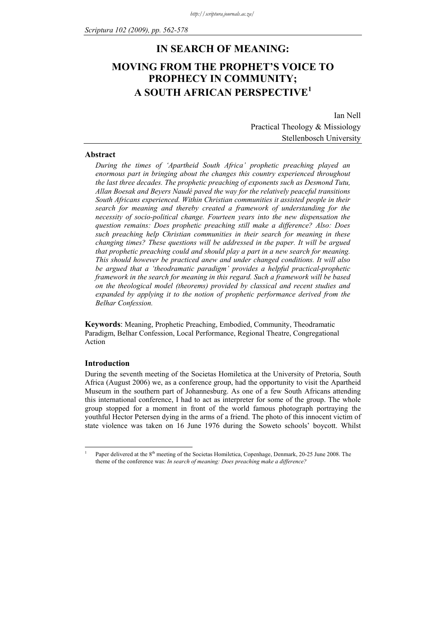# **IN SEARCH OF MEANING: MOVING FROM THE PROPHET'S VOICE TO PROPHECY IN COMMUNITY; A SOUTH AFRICAN PERSPECTIVE<sup>1</sup>**

Ian Nell Practical Theology & Missiology Stellenbosch University

### **Abstract**

*During the times of 'Apartheid South Africa' prophetic preaching played an enormous part in bringing about the changes this country experienced throughout the last three decades. The prophetic preaching of exponents such as Desmond Tutu, Allan Boesak and Beyers Naudé paved the way for the relatively peaceful transitions South Africans experienced. Within Christian communities it assisted people in their search for meaning and thereby created a framework of understanding for the necessity of socio-political change. Fourteen years into the new dispensation the question remains: Does prophetic preaching still make a difference? Also: Does such preaching help Christian communities in their search for meaning in these changing times? These questions will be addressed in the paper. It will be argued that prophetic preaching could and should play a part in a new search for meaning. This should however be practiced anew and under changed conditions. It will also be argued that a 'theodramatic paradigm' provides a helpful practical-prophetic framework in the search for meaning in this regard. Such a framework will be based on the theological model (theorems) provided by classical and recent studies and expanded by applying it to the notion of prophetic performance derived from the Belhar Confession.* 

**Keywords**: Meaning, Prophetic Preaching, Embodied, Community, Theodramatic Paradigm, Belhar Confession, Local Performance, Regional Theatre, Congregational Action

# **Introduction**

<u>.</u> 1

During the seventh meeting of the Societas Homiletica at the University of Pretoria, South Africa (August 2006) we, as a conference group, had the opportunity to visit the Apartheid Museum in the southern part of Johannesburg. As one of a few South Africans attending this international conference, I had to act as interpreter for some of the group. The whole group stopped for a moment in front of the world famous photograph portraying the youthful Hector Petersen dying in the arms of a friend. The photo of this innocent victim of state violence was taken on 16 June 1976 during the Soweto schools' boycott. Whilst

Paper delivered at the 8<sup>th</sup> meeting of the Societas Homiletica, Copenhage, Denmark, 20-25 June 2008. The theme of the conference was: *In search of meaning: Does preaching make a difference?*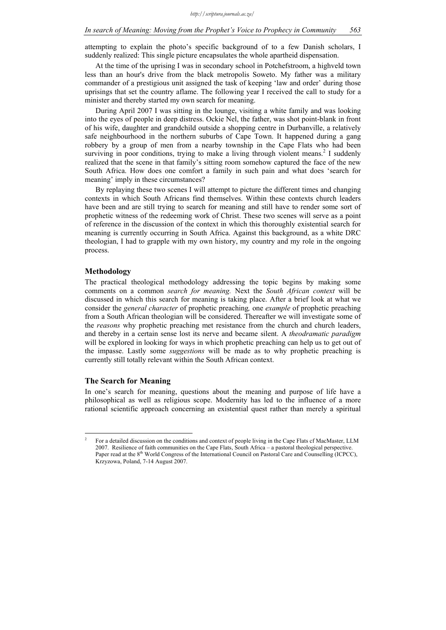attempting to explain the photo's specific background of to a few Danish scholars, I suddenly realized: This single picture encapsulates the whole apartheid dispensation.

At the time of the uprising I was in secondary school in Potchefstroom, a highveld town less than an hour's drive from the black metropolis Soweto. My father was a military commander of a prestigious unit assigned the task of keeping 'law and order' during those uprisings that set the country aflame. The following year I received the call to study for a minister and thereby started my own search for meaning.

During April 2007 I was sitting in the lounge, visiting a white family and was looking into the eyes of people in deep distress. Ockie Nel, the father, was shot point-blank in front of his wife, daughter and grandchild outside a shopping centre in Durbanville, a relatively safe neighbourhood in the northern suburbs of Cape Town. It happened during a gang robbery by a group of men from a nearby township in the Cape Flats who had been surviving in poor conditions, trying to make a living through violent means.<sup>2</sup> I suddenly realized that the scene in that family's sitting room somehow captured the face of the new South Africa. How does one comfort a family in such pain and what does 'search for meaning' imply in these circumstances?

By replaying these two scenes I will attempt to picture the different times and changing contexts in which South Africans find themselves. Within these contexts church leaders have been and are still trying to search for meaning and still have to render some sort of prophetic witness of the redeeming work of Christ. These two scenes will serve as a point of reference in the discussion of the context in which this thoroughly existential search for meaning is currently occurring in South Africa. Against this background, as a white DRC theologian, I had to grapple with my own history, my country and my role in the ongoing process.

#### **Methodology**

The practical theological methodology addressing the topic begins by making some comments on a common *search for meaning.* Next the *South African context* will be discussed in which this search for meaning is taking place. After a brief look at what we consider the *general character* of prophetic preaching*,* one *example* of prophetic preaching from a South African theologian will be considered. Thereafter we will investigate some of the *reasons* why prophetic preaching met resistance from the church and church leaders, and thereby in a certain sense lost its nerve and became silent. A *theodramatic paradigm* will be explored in looking for ways in which prophetic preaching can help us to get out of the impasse. Lastly some *suggestions* will be made as to why prophetic preaching is currently still totally relevant within the South African context.

# **The Search for Meaning**

<u>.</u>

In one's search for meaning, questions about the meaning and purpose of life have a philosophical as well as religious scope. Modernity has led to the influence of a more rational scientific approach concerning an existential quest rather than merely a spiritual

<sup>2</sup> For a detailed discussion on the conditions and context of people living in the Cape Flats cf MacMaster, LLM 2007. Resilience of faith communities on the Cape Flats, South Africa – a pastoral theological perspective. Paper read at the 8<sup>th</sup> World Congress of the International Council on Pastoral Care and Counselling (ICPCC), Krzyzowa, Poland, 7-14 August 2007.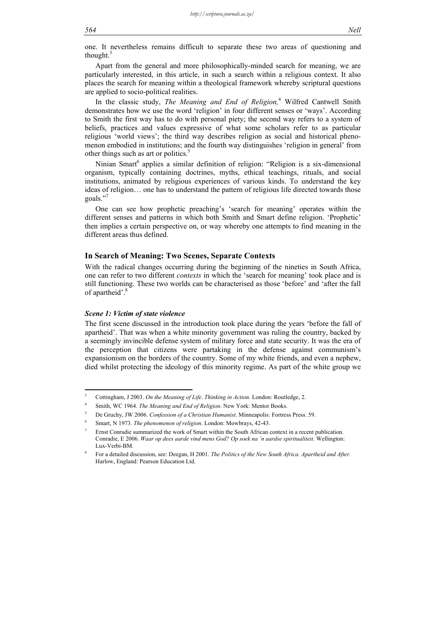one. It nevertheless remains difficult to separate these two areas of questioning and thought. $3$ 

Apart from the general and more philosophically-minded search for meaning, we are particularly interested, in this article, in such a search within a religious context. It also places the search for meaning within a theological framework whereby scriptural questions are applied to socio-political realities.

In the classic study, *The Meaning and End of Religion,*<sup>4</sup> Wilfred Cantwell Smith demonstrates how we use the word 'religion' in four different senses or 'ways'. According to Smith the first way has to do with personal piety; the second way refers to a system of beliefs, practices and values expressive of what some scholars refer to as particular religious 'world views'; the third way describes religion as social and historical phenomenon embodied in institutions; and the fourth way distinguishes 'religion in general' from other things such as art or politics.<sup>5</sup>

Ninian Smart<sup>6</sup> applies a similar definition of religion: "Religion is a six-dimensional organism, typically containing doctrines, myths, ethical teachings, rituals, and social institutions, animated by religious experiences of various kinds. To understand the key ideas of religion… one has to understand the pattern of religious life directed towards those goals."

One can see how prophetic preaching's 'search for meaning' operates within the different senses and patterns in which both Smith and Smart define religion. 'Prophetic' then implies a certain perspective on, or way whereby one attempts to find meaning in the different areas thus defined.

#### **In Search of Meaning: Two Scenes, Separate Contexts**

With the radical changes occurring during the beginning of the nineties in South Africa, one can refer to two different *contexts* in which the 'search for meaning' took place and is still functioning. These two worlds can be characterised as those 'before' and 'after the fall of apartheid'.<sup>8</sup>

#### *Scene 1: Victim of state violence*

1

The first scene discussed in the introduction took place during the years 'before the fall of apartheid'. That was when a white minority government was ruling the country, backed by a seemingly invincible defense system of military force and state security. It was the era of the perception that citizens were partaking in the defense against communism's expansionism on the borders of the country. Some of my white friends, and even a nephew, died whilst protecting the ideology of this minority regime. As part of the white group we

<sup>3</sup> Cottingham, J 2003. *On the Meaning of Life*. *Thinking in Action.* London: Routledge, 2.

<sup>4</sup> Smith, WC 1964. *The Meaning and End of Religion*. New York: Mentor Books.

<sup>5</sup> De Gruchy, JW 2006. *Confession of a Christian Humanist*. Minneapolis: Fortress Press. 59.

<sup>6</sup> Smart, N 1973. *The phenomenon of religion*. London: Mowbrays, 42-43.

<sup>7</sup> Ernst Conradie summarized the work of Smart within the South African context in a recent publication. Conradie, E 2006. *Waar op dees aarde vind mens God? Op soek na 'n aardse spiritualiteit*. Wellington: Lux-Verbi-BM.

<sup>8</sup> For a detailed discussion, see: Deegan, H 2001. *The Politics of the New South Africa. Apartheid and After.* Harlow, England: Pearson Education Ltd.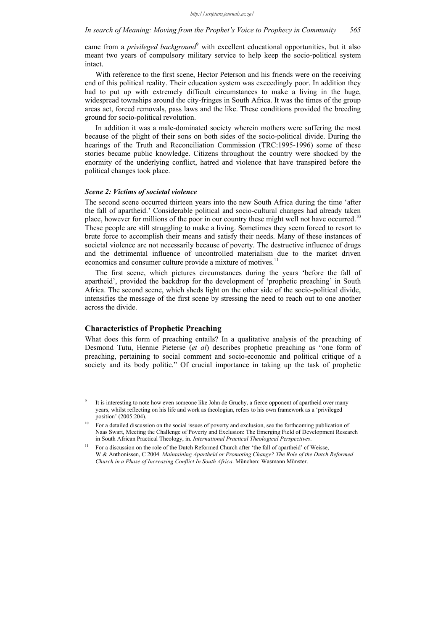came from a *privileged background*<sup>9</sup> with excellent educational opportunities, but it also meant two years of compulsory military service to help keep the socio-political system intact.

With reference to the first scene, Hector Peterson and his friends were on the receiving end of this political reality. Their education system was exceedingly poor. In addition they had to put up with extremely difficult circumstances to make a living in the huge, widespread townships around the city-fringes in South Africa. It was the times of the group areas act, forced removals, pass laws and the like. These conditions provided the breeding ground for socio-political revolution.

In addition it was a male-dominated society wherein mothers were suffering the most because of the plight of their sons on both sides of the socio-political divide. During the hearings of the Truth and Reconciliation Commission (TRC:1995-1996) some of these stories became public knowledge. Citizens throughout the country were shocked by the enormity of the underlying conflict, hatred and violence that have transpired before the political changes took place.

# *Scene 2: Victims of societal violence*

The second scene occurred thirteen years into the new South Africa during the time 'after the fall of apartheid.' Considerable political and socio-cultural changes had already taken place, however for millions of the poor in our country these might well not have occurred.<sup>10</sup> These people are still struggling to make a living. Sometimes they seem forced to resort to brute force to accomplish their means and satisfy their needs. Many of these instances of societal violence are not necessarily because of poverty. The destructive influence of drugs and the detrimental influence of uncontrolled materialism due to the market driven economics and consumer culture provide a mixture of motives.<sup>11</sup>

The first scene, which pictures circumstances during the years 'before the fall of apartheid', provided the backdrop for the development of 'prophetic preaching' in South Africa. The second scene, which sheds light on the other side of the socio-political divide, intensifies the message of the first scene by stressing the need to reach out to one another across the divide.

# **Characteristics of Prophetic Preaching**

1

What does this form of preaching entails? In a qualitative analysis of the preaching of Desmond Tutu, Hennie Pieterse (*et al*) describes prophetic preaching as "one form of preaching, pertaining to social comment and socio-economic and political critique of a society and its body politic." Of crucial importance in taking up the task of prophetic

<sup>9</sup> It is interesting to note how even someone like John de Gruchy, a fierce opponent of apartheid over many years, whilst reflecting on his life and work as theologian, refers to his own framework as a 'privileged position' (2005:204).

<sup>10</sup> For a detailed discussion on the social issues of poverty and exclusion, see the forthcoming publication of Naas Swart, Meeting the Challenge of Poverty and Exclusion: The Emerging Field of Development Research in South African Practical Theology, in. *International Practical Theological Perspectives*.

 $11$  For a discussion on the role of the Dutch Reformed Church after 'the fall of apartheid' cf Weisse. W & Anthonissen, C 2004. *Maintaining Apartheid or Promoting Change? The Role of the Dutch Reformed Church in a Phase of Increasing Conflict In South Africa*. München: Wasmann Münster.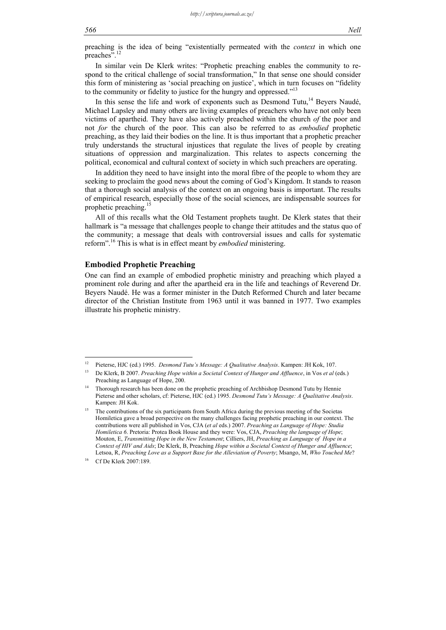preaching is the idea of being "existentially permeated with the *context* in which one preaches".<sup>12</sup>

In similar vein De Klerk writes: "Prophetic preaching enables the community to respond to the critical challenge of social transformation," In that sense one should consider this form of ministering as 'social preaching on justice', which in turn focuses on "fidelity to the community or fidelity to justice for the hungry and oppressed."<sup>13</sup>

In this sense the life and work of exponents such as Desmond Tutu, $14$  Beyers Naudé, Michael Lapsley and many others are living examples of preachers who have not only been victims of apartheid. They have also actively preached within the church *of* the poor and not *for* the church of the poor. This can also be referred to as *embodied* prophetic preaching, as they laid their bodies on the line. It is thus important that a prophetic preacher truly understands the structural injustices that regulate the lives of people by creating situations of oppression and marginalization. This relates to aspects concerning the political, economical and cultural context of society in which such preachers are operating.

In addition they need to have insight into the moral fibre of the people to whom they are seeking to proclaim the good news about the coming of God's Kingdom. It stands to reason that a thorough social analysis of the context on an ongoing basis is important. The results of empirical research, especially those of the social sciences, are indispensable sources for prophetic preaching.<sup>15</sup>

All of this recalls what the Old Testament prophets taught. De Klerk states that their hallmark is "a message that challenges people to change their attitudes and the status quo of the community; a message that deals with controversial issues and calls for systematic reform".16 This is what is in effect meant by *embodied* ministering.

# **Embodied Prophetic Preaching**

One can find an example of embodied prophetic ministry and preaching which played a prominent role during and after the apartheid era in the life and teachings of Reverend Dr. Beyers Naudé. He was a former minister in the Dutch Reformed Church and later became director of the Christian Institute from 1963 until it was banned in 1977. Two examples illustrate his prophetic ministry.

 $12$ 12 Pieterse, HJC (ed.) 1995. *Desmond Tutu's Message: A Qualitative Analysis*. Kampen: JH Kok, 107.

<sup>13</sup> De Klerk, B 2007. *Preaching Hope within a Societal Context of Hunger and Affluence*, in Vos *et al* (eds.) Preaching as Language of Hope, 200.

<sup>&</sup>lt;sup>14</sup> Thorough research has been done on the prophetic preaching of Archbishop Desmond Tutu by Hennie Pieterse and other scholars, cf: Pieterse, HJC (ed.) 1995. *Desmond Tutu's Message: A Qualitative Analysis*. Kampen: JH Kok.

<sup>15</sup> The contributions of the six participants from South Africa during the previous meeting of the Societas Homiletica gave a broad perspective on the many challenges facing prophetic preaching in our context. The contributions were all published in Vos, CJA (*et al* eds.) 2007. *Preaching as Language of Hope: Studia Homiletica 6*. Pretoria: Protea Book House and they were: Vos, CJA, *Preaching the language of Hope*; Mouton, E, *Transmitting Hope in the New Testament*; Cilliers, JH, *Preaching as Language of Hope in a Context of HIV and Aids*; De Klerk, B, Preaching *Hope within a Societal Context of Hunger and Affluence*; Letsoa, R, *Preaching Love as a Support Base for the Alleviation of Poverty*; Msango, M, *Who Touched Me*?

Cf De Klerk 2007:189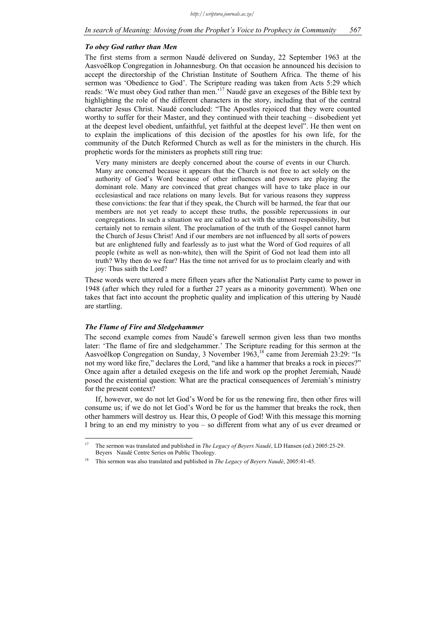#### *To obey God rather than Men*

The first stems from a sermon Naudé delivered on Sunday, 22 September 1963 at the Aasvoëlkop Congregation in Johannesburg. On that occasion he announced his decision to accept the directorship of the Christian Institute of Southern Africa. The theme of his sermon was 'Obedience to God'. The Scripture reading was taken from Acts 5:29 which reads: 'We must obey God rather than men.<sup>17</sup> Naudé gave an exegeses of the Bible text by highlighting the role of the different characters in the story, including that of the central character Jesus Christ. Naudé concluded: "The Apostles rejoiced that they were counted worthy to suffer for their Master, and they continued with their teaching – disobedient yet at the deepest level obedient, unfaithful, yet faithful at the deepest level". He then went on to explain the implications of this decision of the apostles for his own life, for the community of the Dutch Reformed Church as well as for the ministers in the church. His prophetic words for the ministers as prophets still ring true:

Very many ministers are deeply concerned about the course of events in our Church. Many are concerned because it appears that the Church is not free to act solely on the authority of God's Word because of other influences and powers are playing the dominant role. Many are convinced that great changes will have to take place in our ecclesiastical and race relations on many levels. But for various reasons they suppress these convictions: the fear that if they speak, the Church will be harmed, the fear that our members are not yet ready to accept these truths, the possible repercussions in our congregations. In such a situation we are called to act with the utmost responsibility, but certainly not to remain silent. The proclamation of the truth of the Gospel cannot harm the Church of Jesus Christ! And if our members are not influenced by all sorts of powers but are enlightened fully and fearlessly as to just what the Word of God requires of all people (white as well as non-white), then will the Spirit of God not lead them into all truth? Why then do we fear? Has the time not arrived for us to proclaim clearly and with joy: Thus saith the Lord?

These words were uttered a mere fifteen years after the Nationalist Party came to power in 1948 (after which they ruled for a further 27 years as a minority government). When one takes that fact into account the prophetic quality and implication of this uttering by Naudé are startling.

#### *The Flame of Fire and Sledgehammer*

The second example comes from Naudé's farewell sermon given less than two months later: 'The flame of fire and sledgehammer.' The Scripture reading for this sermon at the Aasvoëlkop Congregation on Sunday, 3 November 1963,<sup>18</sup> came from Jeremiah 23:29: "Is not my word like fire," declares the Lord, "and like a hammer that breaks a rock in pieces?" Once again after a detailed exegesis on the life and work op the prophet Jeremiah, Naudé posed the existential question: What are the practical consequences of Jeremiah's ministry for the present context?

If, however, we do not let God's Word be for us the renewing fire, then other fires will consume us; if we do not let God's Word be for us the hammer that breaks the rock, then other hammers will destroy us. Hear this, O people of God! With this message this morning I bring to an end my ministry to you – so different from what any of us ever dreamed or

 $17$ 17 The sermon was translated and published in *The Legacy of Beyers Naudé*, LD Hansen (ed.) 2005:25-29. Beyers Naudé Centre Series on Public Theology.

<sup>18</sup> This sermon was also translated and published in *The Legacy of Beyers Naudé*, 2005:41-45.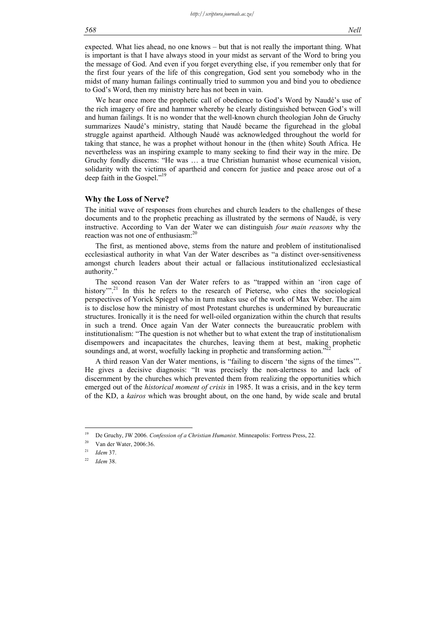We hear once more the prophetic call of obedience to God's Word by Naudé's use of the rich imagery of fire and hammer whereby he clearly distinguished between God's will and human failings. It is no wonder that the well-known church theologian John de Gruchy summarizes Naudé's ministry, stating that Naudé became the figurehead in the global struggle against apartheid. Although Naudé was acknowledged throughout the world for taking that stance, he was a prophet without honour in the (then white) South Africa. He nevertheless was an inspiring example to many seeking to find their way in the mire. De Gruchy fondly discerns: "He was … a true Christian humanist whose ecumenical vision, solidarity with the victims of apartheid and concern for justice and peace arose out of a deep faith in the Gospel."<sup>19</sup>

#### **Why the Loss of Nerve?**

The initial wave of responses from churches and church leaders to the challenges of these documents and to the prophetic preaching as illustrated by the sermons of Naudé, is very instructive. According to Van der Water we can distinguish *four main reasons* why the reaction was not one of enthusiasm:<sup>20</sup>

The first, as mentioned above, stems from the nature and problem of institutionalised ecclesiastical authority in what Van der Water describes as "a distinct over-sensitiveness amongst church leaders about their actual or fallacious institutionalized ecclesiastical authority."

The second reason Van der Water refers to as "trapped within an 'iron cage of history".<sup>21</sup> In this he refers to the research of Pieterse, who cites the sociological perspectives of Yorick Spiegel who in turn makes use of the work of Max Weber. The aim is to disclose how the ministry of most Protestant churches is undermined by bureaucratic structures. Ironically it is the need for well-oiled organization within the church that results in such a trend. Once again Van der Water connects the bureaucratic problem with institutionalism: "The question is not whether but to what extent the trap of institutionalism disempowers and incapacitates the churches, leaving them at best, making prophetic soundings and, at worst, woefully lacking in prophetic and transforming action."

A third reason Van der Water mentions, is "failing to discern 'the signs of the times'". He gives a decisive diagnosis: "It was precisely the non-alertness to and lack of discernment by the churches which prevented them from realizing the opportunities which emerged out of the *historical moment of crisis* in 1985. It was a crisis, and in the key term of the KD, a *kairos* which was brought about, on the one hand, by wide scale and brutal

1

<sup>&</sup>lt;sup>19</sup> De Gruchy, JW 2006. *Confession of a Christian Humanist*. Minneapolis: Fortress Press, 22.

 $20$  Van der Water, 2006:36.

<sup>21</sup> *Idem* 37.

<sup>22</sup> *Idem* 38.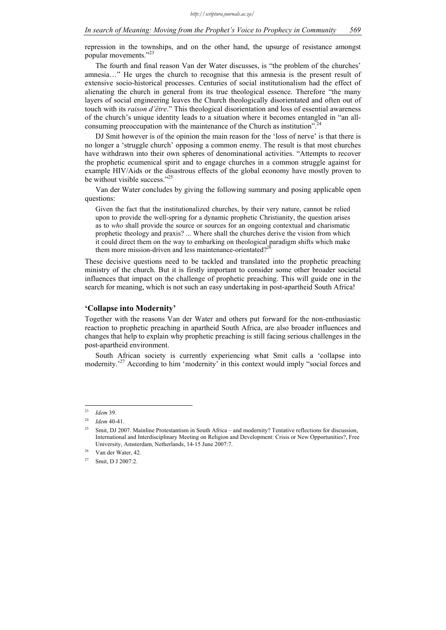repression in the townships, and on the other hand, the upsurge of resistance amongst popular movements."23

The fourth and final reason Van der Water discusses, is "the problem of the churches' amnesia…" He urges the church to recognise that this amnesia is the present result of extensive socio-historical processes. Centuries of social institutionalism had the effect of alienating the church in general from its true theological essence. Therefore "the many layers of social engineering leaves the Church theologically disorientated and often out of touch with its *raison d'être*." This theological disorientation and loss of essential awareness of the church's unique identity leads to a situation where it becomes entangled in "an allconsuming preoccupation with the maintenance of the Church as institution".

DJ Smit however is of the opinion the main reason for the 'loss of nerve' is that there is no longer a 'struggle church' opposing a common enemy. The result is that most churches have withdrawn into their own spheres of denominational activities. "Attempts to recover the prophetic ecumenical spirit and to engage churches in a common struggle against for example HIV/Aids or the disastrous effects of the global economy have mostly proven to be without visible success."<sup>25</sup>

Van der Water concludes by giving the following summary and posing applicable open questions:

Given the fact that the institutionalized churches, by their very nature, cannot be relied upon to provide the well-spring for a dynamic prophetic Christianity, the question arises as to *who* shall provide the source or sources for an ongoing contextual and charismatic prophetic theology and praxis? ... Where shall the churches derive the vision from which it could direct them on the way to embarking on theological paradigm shifts which make them more mission-driven and less maintenance-orientated?<sup>26</sup>

These decisive questions need to be tackled and translated into the prophetic preaching ministry of the church. But it is firstly important to consider some other broader societal influences that impact on the challenge of prophetic preaching. This will guide one in the search for meaning, which is not such an easy undertaking in post-apartheid South Africa!

# **'Collapse into Modernity'**

Together with the reasons Van der Water and others put forward for the non-enthusiastic reaction to prophetic preaching in apartheid South Africa, are also broader influences and changes that help to explain why prophetic preaching is still facing serious challenges in the post-apartheid environment.

South African society is currently experiencing what Smit calls a 'collapse into modernity.<sup>27</sup> According to him 'modernity' in this context would imply "social forces and

1

<sup>23</sup> *Idem* 39.

<sup>24</sup> *Idem* 40-41.

<sup>&</sup>lt;sup>25</sup> Smit, DJ 2007. Mainline Protestantism in South Africa – and modernity? Tentative reflections for discussion, International and Interdisciplinary Meeting on Religion and Development: Crisis or New Opportunities?, Free University, Amsterdam, Netherlands, 14-15 June 2007:7.

<sup>26</sup> Van der Water, 42.

<sup>27</sup> Smit, D J 2007:2.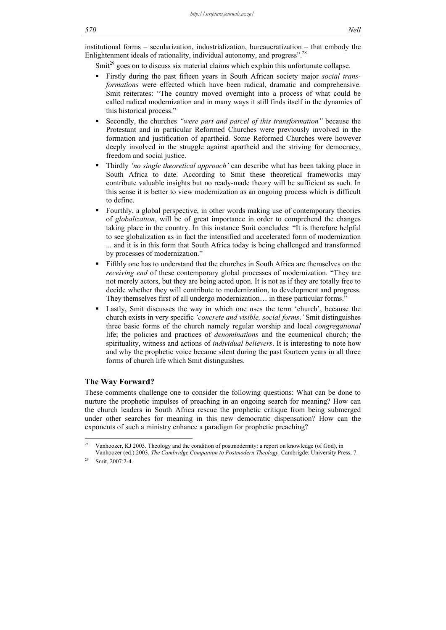institutional forms – secularization, industrialization, bureaucratization – that embody the Enlightenment ideals of rationality, individual autonomy, and progress".<sup>28</sup>

Smit<sup>29</sup> goes on to discuss six material claims which explain this unfortunate collapse.

- Firstly during the past fifteen years in South African society major *social transformations* were effected which have been radical, dramatic and comprehensive. Smit reiterates: "The country moved overnight into a process of what could be called radical modernization and in many ways it still finds itself in the dynamics of this historical process."
- Secondly, the churches *"were part and parcel of this transformation"* because the Protestant and in particular Reformed Churches were previously involved in the formation and justification of apartheid. Some Reformed Churches were however deeply involved in the struggle against apartheid and the striving for democracy, freedom and social justice.
- Thirdly *'no single theoretical approach'* can describe what has been taking place in South Africa to date. According to Smit these theoretical frameworks may contribute valuable insights but no ready-made theory will be sufficient as such. In this sense it is better to view modernization as an ongoing process which is difficult to define.
- Fourthly, a global perspective, in other words making use of contemporary theories of *globalization*, will be of great importance in order to comprehend the changes taking place in the country. In this instance Smit concludes: "It is therefore helpful to see globalization as in fact the intensified and accelerated form of modernization ... and it is in this form that South Africa today is being challenged and transformed by processes of modernization."
- Fifthly one has to understand that the churches in South Africa are themselves on the *receiving end* of these contemporary global processes of modernization. "They are not merely actors, but they are being acted upon. It is not as if they are totally free to decide whether they will contribute to modernization, to development and progress. They themselves first of all undergo modernization… in these particular forms."
- Lastly, Smit discusses the way in which one uses the term 'church', because the church exists in very specific *'concrete and visible, social forms*.*'* Smit distinguishes three basic forms of the church namely regular worship and local *congregational* life; the policies and practices of *denominations* and the ecumenical church; the spirituality, witness and actions of *individual believers*. It is interesting to note how and why the prophetic voice became silent during the past fourteen years in all three forms of church life which Smit distinguishes.

## **The Way Forward?**

These comments challenge one to consider the following questions: What can be done to nurture the prophetic impulses of preaching in an ongoing search for meaning? How can the church leaders in South Africa rescue the prophetic critique from being submerged under other searches for meaning in this new democratic dispensation? How can the exponents of such a ministry enhance a paradigm for prophetic preaching?

<u>.</u>

<sup>28</sup> Vanhoozer, KJ 2003. Theology and the condition of postmodernity: a report on knowledge (of God), in Vanhoozer (ed.) 2003. *The Cambridge Companion to Postmodern Theology*. Cambrigde: University Press, 7.

 $29$  Smit, 2007:2-4.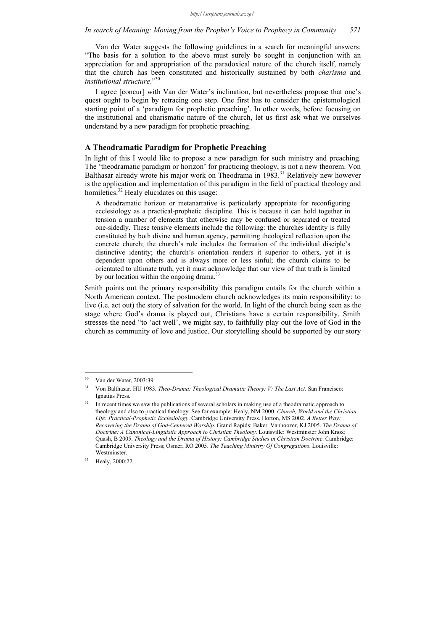Van der Water suggests the following guidelines in a search for meaningful answers: "The basis for a solution to the above must surely be sought in conjunction with an appreciation for and appropriation of the paradoxical nature of the church itself, namely that the church has been constituted and historically sustained by both *charisma* and *institutional structure*."30

I agree [concur] with Van der Water's inclination, but nevertheless propose that one's quest ought to begin by retracing one step. One first has to consider the epistemological starting point of a 'paradigm for prophetic preaching'. In other words, before focusing on the institutional and charismatic nature of the church, let us first ask what we ourselves understand by a new paradigm for prophetic preaching.

# **A Theodramatic Paradigm for Prophetic Preaching**

In light of this I would like to propose a new paradigm for such ministry and preaching. The 'theodramatic paradigm or horizon' for practicing theology, is not a new theorem. Von Balthasar already wrote his major work on Theodrama in 1983.<sup>31</sup> Relatively new however is the application and implementation of this paradigm in the field of practical theology and homiletics.<sup>32</sup> Healy elucidates on this usage:

A theodramatic horizon or metanarrative is particularly appropriate for reconfiguring ecclesiology as a practical-prophetic discipline. This is because it can hold together in tension a number of elements that otherwise may be confused or separated or treated one-sidedly. These tensive elements include the following: the churches identity is fully constituted by both divine and human agency, permitting theological reflection upon the concrete church; the church's role includes the formation of the individual disciple's distinctive identity; the church's orientation renders it superior to others, yet it is dependent upon others and is always more or less sinful; the church claims to be orientated to ultimate truth, yet it must acknowledge that our view of that truth is limited by our location within the ongoing drama.<sup>3</sup>

Smith points out the primary responsibility this paradigm entails for the church within a North American context. The postmodern church acknowledges its main responsibility: to live (i.e. act out) the story of salvation for the world. In light of the church being seen as the stage where God's drama is played out, Christians have a certain responsibility. Smith stresses the need "to 'act well', we might say, to faithfully play out the love of God in the church as community of love and justice. Our storytelling should be supported by our story

1

Van der Water, 2003:39.

<sup>31</sup> Von Balthasar. HU 1983. *Theo-Drama: Theological Dramatic Theory: V: The Last Act*. San Francisco: Ignatius Press.

In recent times we saw the publications of several scholars in making use of a theodramatic approach to theology and also to practical theology. See for example: Healy, NM 2000. *Church, World and the Christian Life: Practical-Prophetic Ecclesiology*. Cambridge University Press. Horton, MS 2002. *A Better Way: Recovering the Drama of God-Centered Worship*. Grand Rapids: Baker. Vanhoozer, KJ 2005. *The Drama of Doctrine: A Canonical-Linguistic Approach to Christian Theology*. Louisville: Westminster John Knox; Quash, B 2005. *Theology and the Drama of History: Cambridge Studies in Christian Doctrine*. Cambridge: Cambridge University Press; Osmer, RO 2005. *The Teaching Ministry Of Congregations*. Louisville: Westminster.

Healy, 2000:22.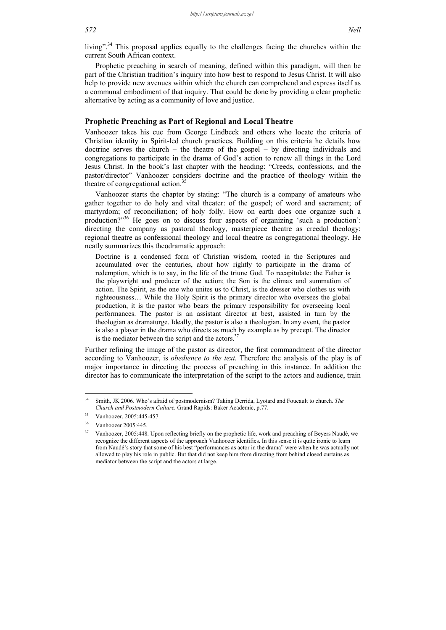#### *572 Nell*

living"<sup>34</sup> This proposal applies equally to the challenges facing the churches within the current South African context.

Prophetic preaching in search of meaning, defined within this paradigm, will then be part of the Christian tradition's inquiry into how best to respond to Jesus Christ. It will also help to provide new avenues within which the church can comprehend and express itself as a communal embodiment of that inquiry. That could be done by providing a clear prophetic alternative by acting as a community of love and justice.

#### **Prophetic Preaching as Part of Regional and Local Theatre**

Vanhoozer takes his cue from George Lindbeck and others who locate the criteria of Christian identity in Spirit-led church practices. Building on this criteria he details how doctrine serves the church – the theatre of the gospel – by directing individuals and congregations to participate in the drama of God's action to renew all things in the Lord Jesus Christ. In the book's last chapter with the heading: "Creeds, confessions, and the pastor/director" Vanhoozer considers doctrine and the practice of theology within the theatre of congregational action.<sup>35</sup>

Vanhoozer starts the chapter by stating: "The church is a company of amateurs who gather together to do holy and vital theater: of the gospel; of word and sacrament; of martyrdom; of reconciliation; of holy folly. How on earth does one organize such a production?"36 He goes on to discuss four aspects of organizing 'such a production': directing the company as pastoral theology, masterpiece theatre as creedal theology; regional theatre as confessional theology and local theatre as congregational theology. He neatly summarizes this theodramatic approach:

Doctrine is a condensed form of Christian wisdom, rooted in the Scriptures and accumulated over the centuries, about how rightly to participate in the drama of redemption, which is to say, in the life of the triune God. To recapitulate: the Father is the playwright and producer of the action; the Son is the climax and summation of action. The Spirit, as the one who unites us to Christ, is the dresser who clothes us with righteousness… While the Holy Spirit is the primary director who oversees the global production, it is the pastor who bears the primary responsibility for overseeing local performances. The pastor is an assistant director at best, assisted in turn by the theologian as dramaturge. Ideally, the pastor is also a theologian. In any event, the pastor is also a player in the drama who directs as much by example as by precept. The director is the mediator between the script and the actors. $3<sup>3</sup>$ 

Further refining the image of the pastor as director, the first commandment of the director according to Vanhoozer, is *obedience to the text.* Therefore the analysis of the play is of major importance in directing the process of preaching in this instance. In addition the director has to communicate the interpretation of the script to the actors and audience, train

 $34$ 34 Smith, JK 2006. Who's afraid of postmodernism? Taking Derrida, Lyotard and Foucault to church. *The Church and Postmodern Culture.* Grand Rapids: Baker Academic, p.77.

<sup>35</sup> Vanhoozer, 2005:445-457.

Vanhoozer 2005:445.

<sup>37</sup> Vanhoozer, 2005:448. Upon reflecting briefly on the prophetic life, work and preaching of Beyers Naudé, we recognize the different aspects of the approach Vanhoozer identifies. In this sense it is quite ironic to learn from Naudé's story that some of his best "performances as actor in the drama" were when he was actually not allowed to play his role in public. But that did not keep him from directing from behind closed curtains as mediator between the script and the actors at large.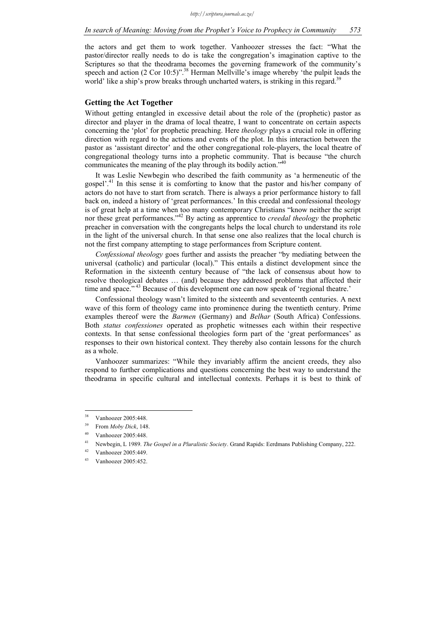the actors and get them to work together. Vanhoozer stresses the fact: "What the pastor/director really needs to do is take the congregation's imagination captive to the Scriptures so that the theodrama becomes the governing framework of the community's speech and action  $(2 \text{ Cor } 10:5)$ ".<sup>38</sup> Herman Mellville's image whereby 'the pulpit leads the world' like a ship's prow breaks through uncharted waters, is striking in this regard.<sup>39</sup>

# **Getting the Act Together**

Without getting entangled in excessive detail about the role of the (prophetic) pastor as director and player in the drama of local theatre, I want to concentrate on certain aspects concerning the 'plot' for prophetic preaching. Here *theology* plays a crucial role in offering direction with regard to the actions and events of the plot. In this interaction between the pastor as 'assistant director' and the other congregational role-players, the local theatre of congregational theology turns into a prophetic community. That is because "the church communicates the meaning of the play through its bodily action."<sup>40</sup>

It was Leslie Newbegin who described the faith community as 'a hermeneutic of the gospel'.41 In this sense it is comforting to know that the pastor and his/her company of actors do not have to start from scratch. There is always a prior performance history to fall back on, indeed a history of 'great performances.' In this creedal and confessional theology is of great help at a time when too many contemporary Christians "know neither the script nor these great performances."<sup>42</sup> By acting as apprentice to *creedal theology* the prophetic preacher in conversation with the congregants helps the local church to understand its role in the light of the universal church. In that sense one also realizes that the local church is not the first company attempting to stage performances from Scripture content.

*Confessional theology* goes further and assists the preacher "by mediating between the universal (catholic) and particular (local)." This entails a distinct development since the Reformation in the sixteenth century because of "the lack of consensus about how to resolve theological debates … (and) because they addressed problems that affected their time and space."<sup>43</sup> Because of this development one can now speak of 'regional theatre.'

Confessional theology wasn't limited to the sixteenth and seventeenth centuries. A next wave of this form of theology came into prominence during the twentieth century. Prime examples thereof were the *Barmen* (Germany) and *Belhar* (South Africa) Confessions. Both *status confessiones* operated as prophetic witnesses each within their respective contexts. In that sense confessional theologies form part of the 'great performances' as responses to their own historical context. They thereby also contain lessons for the church as a whole.

Vanhoozer summarizes: "While they invariably affirm the ancient creeds, they also respond to further complications and questions concerning the best way to understand the theodrama in specific cultural and intellectual contexts. Perhaps it is best to think of

 $38$ Vanhoozer 2005:448.

<sup>39</sup> From *Moby Dick*, 148.

Vanhoozer 2005:448.

<sup>41</sup> Newbegin, L 1989. *The Gospel in a Pluralistic Society*. Grand Rapids: Eerdmans Publishing Company, 222.

<sup>42</sup> Vanhoozer 2005:449.

<sup>43</sup> Vanhoozer 2005:452.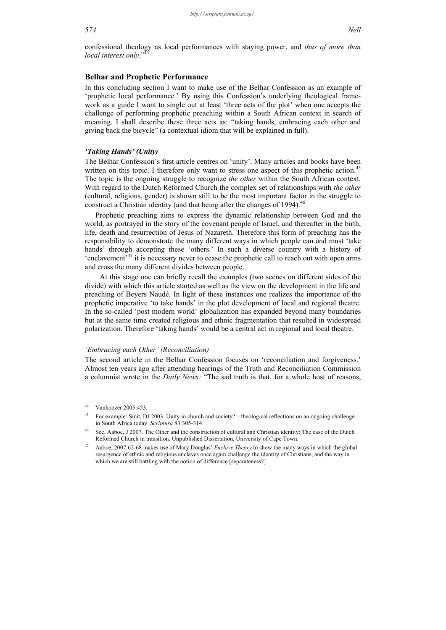confessional theology as local performances with staying power, and *thus of more than local interest only.*"

# **Belhar and Prophetic Performance**

In this concluding section I want to make use of the Belhar Confession as an example of 'prophetic local performance.' By using this Confession's underlying theological framework as a guide I want to single out at least 'three acts of the plot' when one accepts the challenge of performing prophetic preaching within a South African context in search of meaning. I shall describe these three acts as: "taking hands, embracing each other and giving back the bicycle" (a contextual idiom that will be explained in full).

### *'Taking Hands' (Unity)*

The Belhar Confession's first article centres on 'unity'. Many articles and books have been written on this topic. I therefore only want to stress one aspect of this prophetic action.<sup>45</sup> The topic is the ongoing struggle to recognize *the other* within the South African context. With regard to the Dutch Reformed Church the complex set of relationships with *the other* (cultural, religious, gender) is shown still to be the most important factor in the struggle to construct a Christian identity (and that being after the changes of 1994).<sup>46</sup>

Prophetic preaching aims to express the dynamic relationship between God and the world, as portrayed in the story of the covenant people of Israel, and thereafter in the birth, life, death and resurrection of Jesus of Nazareth. Therefore this form of preaching has the responsibility to demonstrate the many different ways in which people can and must 'take hands' through accepting these 'others.' In such a diverse country with a history of 'enclavement $\overline{A}^{47}$  it is necessary never to cease the prophetic call to reach out with open arms and cross the many different divides between people.

 At this stage one can briefly recall the examples (two scenes on different sides of the divide) with which this article started as well as the view on the development in the life and preaching of Beyers Naudé. In light of these instances one realizes the importance of the prophetic imperative 'to take hands' in the plot development of local and regional theatre. In the so-called 'post modern world' globalization has expanded beyond many boundaries but at the same time created religious and ethnic fragmentation that resulted in widespread polarization. Therefore 'taking hands' would be a central act in regional and local theatre.

#### *'Embracing each Other' (Reconciliation)*

The second article in the Belhar Confession focuses on 'reconciliation and forgiveness.' Almost ten years ago after attending hearings of the Truth and Reconciliation Commission a columnist wrote in the *Daily News:* "The sad truth is that, for a whole host of reasons,

 $\overline{44}$ Vanhoozer 2005:453.

<sup>&</sup>lt;sup>45</sup> For example: Smit, DJ 2003. Unity in church and society? – theological reflections on an ongoing challenge in South Africa today. *Scriptura* 83:305-314.

See, Aaboe, J 2007. The Other and the construction of cultural and Christian identity: The case of the Dutch Reformed Church in transition. Unpublished Dissertation, University of Cape Town.

<sup>47</sup> Aaboe, 2007:62-68 makes use of Mary Douglas' *Enclave Theory* to show the many ways in which the global resurgence of ethnic and religious enclaves once again challenge the identity of Christians, and the way in which we are still battling with the notion of difference [separateness?].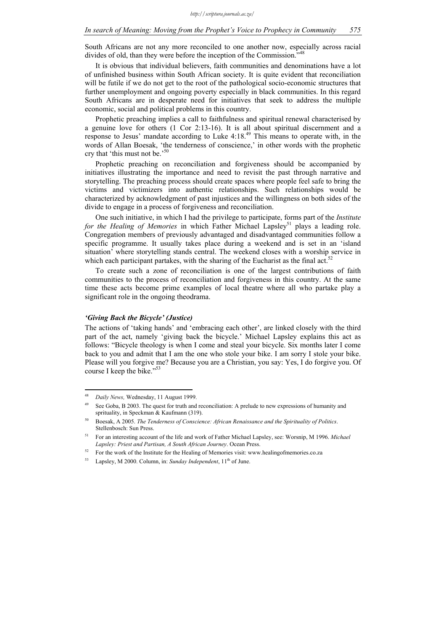South Africans are not any more reconciled to one another now, especially across racial divides of old, than they were before the inception of the Commission."

It is obvious that individual believers, faith communities and denominations have a lot of unfinished business within South African society. It is quite evident that reconciliation will be futile if we do not get to the root of the pathological socio-economic structures that further unemployment and ongoing poverty especially in black communities. In this regard South Africans are in desperate need for initiatives that seek to address the multiple economic, social and political problems in this country.

Prophetic preaching implies a call to faithfulness and spiritual renewal characterised by a genuine love for others (1 Cor 2:13-16). It is all about spiritual discernment and a response to Jesus' mandate according to Luke 4:18.49 This means to operate with, in the words of Allan Boesak, 'the tenderness of conscience,' in other words with the prophetic cry that 'this must not be.'50

Prophetic preaching on reconciliation and forgiveness should be accompanied by initiatives illustrating the importance and need to revisit the past through narrative and storytelling. The preaching process should create spaces where people feel safe to bring the victims and victimizers into authentic relationships. Such relationships would be characterized by acknowledgment of past injustices and the willingness on both sides of the divide to engage in a process of forgiveness and reconciliation.

One such initiative, in which I had the privilege to participate, forms part of the *Institute for the Healing of Memories* in which Father Michael Lapsley<sup>51</sup> plays a leading role. Congregation members of previously advantaged and disadvantaged communities follow a specific programme. It usually takes place during a weekend and is set in an 'island situation' where storytelling stands central. The weekend closes with a worship service in which each participant partakes, with the sharing of the Eucharist as the final act.<sup>52</sup>

To create such a zone of reconciliation is one of the largest contributions of faith communities to the process of reconciliation and forgiveness in this country. At the same time these acts become prime examples of local theatre where all who partake play a significant role in the ongoing theodrama.

#### *'Giving Back the Bicycle' (Justice)*

The actions of 'taking hands' and 'embracing each other', are linked closely with the third part of the act, namely 'giving back the bicycle.' Michael Lapsley explains this act as follows: "Bicycle theology is when I come and steal your bicycle. Six months later I come back to you and admit that I am the one who stole your bike. I am sorry I stole your bike. Please will you forgive me? Because you are a Christian, you say: Yes, I do forgive you. Of course I keep the bike."<sup>53</sup>

<sup>48</sup> 48 *Daily News,* Wednesday, 11 August 1999.

<sup>&</sup>lt;sup>49</sup> See Goba, B 2003. The quest for truth and reconciliation: A prelude to new expressions of humanity and sprituality, in Speckman & Kaufmann (319).

<sup>50</sup> Boesak, A 2005. *The Tenderness of Conscience: African Renaissance and the Spirituality of Politics*. Stellenbosch: Sun Press.

<sup>51</sup> For an interesting account of the life and work of Father Michael Lapsley, see: Worsnip, M 1996. *Michael Lapsley: Priest and Partisan, A South African Journey*. Ocean Press.

<sup>&</sup>lt;sup>52</sup> For the work of the Institute for the Healing of Memories visit: www.healingofmemories.co.za

<sup>&</sup>lt;sup>53</sup> Lapsley, M 2000. Column, in: *Sunday Independent*, 11<sup>th</sup> of June.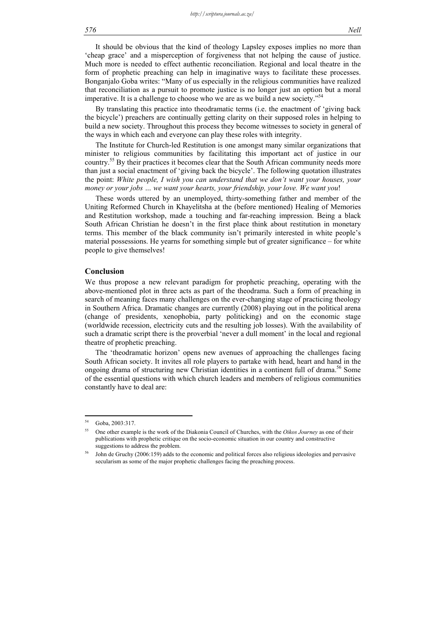It should be obvious that the kind of theology Lapsley exposes implies no more than 'cheap grace' and a misperception of forgiveness that not helping the cause of justice. Much more is needed to effect authentic reconciliation. Regional and local theatre in the form of prophetic preaching can help in imaginative ways to facilitate these processes. Bonganjalo Goba writes: "Many of us especially in the religious communities have realized that reconciliation as a pursuit to promote justice is no longer just an option but a moral imperative. It is a challenge to choose who we are as we build a new society." $54$ 

By translating this practice into theodramatic terms (i.e. the enactment of 'giving back the bicycle') preachers are continually getting clarity on their supposed roles in helping to build a new society. Throughout this process they become witnesses to society in general of the ways in which each and everyone can play these roles with integrity.

The Institute for Church-led Restitution is one amongst many similar organizations that minister to religious communities by facilitating this important act of justice in our country.<sup>55</sup> By their practices it becomes clear that the South African community needs more than just a social enactment of 'giving back the bicycle'. The following quotation illustrates the point: *White people, I wish you can understand that we don't want your houses, your money or your jobs … we want your hearts, your friendship, your love. We want you*!

These words uttered by an unemployed, thirty-something father and member of the Uniting Reformed Church in Khayelitsha at the (before mentioned) Healing of Memories and Restitution workshop, made a touching and far-reaching impression. Being a black South African Christian he doesn't in the first place think about restitution in monetary terms. This member of the black community isn't primarily interested in white people's material possessions. He yearns for something simple but of greater significance – for white people to give themselves!

#### **Conclusion**

We thus propose a new relevant paradigm for prophetic preaching, operating with the above-mentioned plot in three acts as part of the theodrama. Such a form of preaching in search of meaning faces many challenges on the ever-changing stage of practicing theology in Southern Africa. Dramatic changes are currently (2008) playing out in the political arena (change of presidents, xenophobia, party politicking) and on the economic stage (worldwide recession, electricity cuts and the resulting job losses). With the availability of such a dramatic script there is the proverbial 'never a dull moment' in the local and regional theatre of prophetic preaching.

The 'theodramatic horizon' opens new avenues of approaching the challenges facing South African society. It invites all role players to partake with head, heart and hand in the ongoing drama of structuring new Christian identities in a continent full of drama.<sup>56</sup> Some of the essential questions with which church leaders and members of religious communities constantly have to deal are:

<sup>54</sup> Goba, 2003:317.

<sup>55</sup> One other example is the work of the Diakonia Council of Churches, with the *Oikos Journey* as one of their publications with prophetic critique on the socio-economic situation in our country and constructive suggestions to address the problem.

John de Gruchy (2006:159) adds to the economic and political forces also religious ideologies and pervasive secularism as some of the major prophetic challenges facing the preaching process.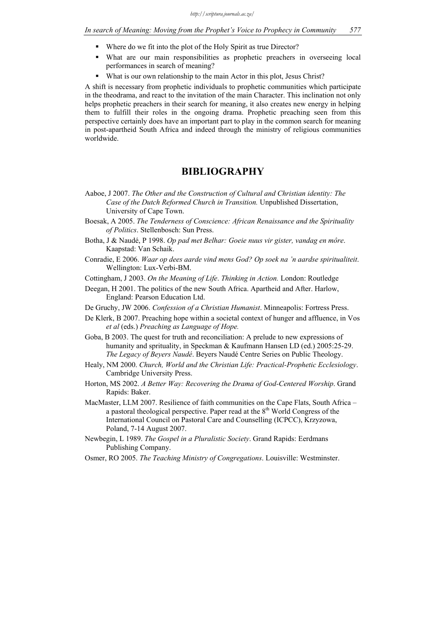- Where do we fit into the plot of the Holy Spirit as true Director?
- What are our main responsibilities as prophetic preachers in overseeing local performances in search of meaning?
- What is our own relationship to the main Actor in this plot, Jesus Christ?

A shift is necessary from prophetic individuals to prophetic communities which participate in the theodrama, and react to the invitation of the main Character. This inclination not only helps prophetic preachers in their search for meaning, it also creates new energy in helping them to fulfill their roles in the ongoing drama. Prophetic preaching seen from this perspective certainly does have an important part to play in the common search for meaning in post-apartheid South Africa and indeed through the ministry of religious communities worldwide.

# **BIBLIOGRAPHY**

- Aaboe, J 2007. *The Other and the Construction of Cultural and Christian identity: The Case of the Dutch Reformed Church in Transition.* Unpublished Dissertation, University of Cape Town.
- Boesak, A 2005. *The Tenderness of Conscience: African Renaissance and the Spirituality of Politics*. Stellenbosch: Sun Press.
- Botha, J & Naudé, P 1998. *Op pad met Belhar: Goeie nuus vir gister, vandag en môre*. Kaapstad: Van Schaik.
- Conradie, E 2006. *Waar op dees aarde vind mens God? Op soek na 'n aardse spiritualiteit*. Wellington: Lux-Verbi-BM.
- Cottingham, J 2003. *On the Meaning of Life*. *Thinking in Action.* London: Routledge
- Deegan, H 2001. The politics of the new South Africa. Apartheid and After. Harlow, England: Pearson Education Ltd.
- De Gruchy, JW 2006. *Confession of a Christian Humanist*. Minneapolis: Fortress Press.
- De Klerk, B 2007. Preaching hope within a societal context of hunger and affluence, in Vos *et al* (eds.) *Preaching as Language of Hope.*
- Goba, B 2003. The quest for truth and reconciliation: A prelude to new expressions of humanity and sprituality, in Speckman & Kaufmann Hansen LD (ed.) 2005:25-29. *The Legacy of Beyers Naudé*. Beyers Naudé Centre Series on Public Theology.
- Healy, NM 2000. *Church, World and the Christian Life: Practical-Prophetic Ecclesiology*. Cambridge University Press.
- Horton, MS 2002. *A Better Way: Recovering the Drama of God-Centered Worship*. Grand Rapids: Baker.
- MacMaster, LLM 2007. Resilience of faith communities on the Cape Flats, South Africa a pastoral theological perspective. Paper read at the  $8<sup>th</sup>$  World Congress of the International Council on Pastoral Care and Counselling (ICPCC), Krzyzowa, Poland, 7-14 August 2007.
- Newbegin, L 1989. *The Gospel in a Pluralistic Society*. Grand Rapids: Eerdmans Publishing Company.
- Osmer, RO 2005. *The Teaching Ministry of Congregations*. Louisville: Westminster.